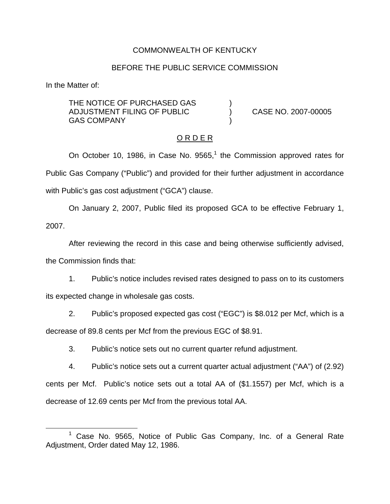### COMMONWEALTH OF KENTUCKY

### BEFORE THE PUBLIC SERVICE COMMISSION

In the Matter of:

THE NOTICE OF PURCHASED GAS ADJUSTMENT FILING OF PUBLIC ) CASE NO. 2007-00005 **GAS COMPANY** 

### O R D E R

On October 10, 1986, in Case No.  $9565<sup>1</sup>$ , the Commission approved rates for Public Gas Company ("Public") and provided for their further adjustment in accordance with Public's gas cost adjustment ("GCA") clause.

On January 2, 2007, Public filed its proposed GCA to be effective February 1, 2007.

After reviewing the record in this case and being otherwise sufficiently advised, the Commission finds that:

1. Public's notice includes revised rates designed to pass on to its customers its expected change in wholesale gas costs.

2. Public's proposed expected gas cost ("EGC") is \$8.012 per Mcf, which is a decrease of 89.8 cents per Mcf from the previous EGC of \$8.91.

3. Public's notice sets out no current quarter refund adjustment.

4. Public's notice sets out a current quarter actual adjustment ("AA") of (2.92) cents per Mcf. Public's notice sets out a total AA of (\$1.1557) per Mcf, which is a decrease of 12.69 cents per Mcf from the previous total AA.

Case No. 9565, Notice of Public Gas Company, Inc. of a General Rate Adjustment, Order dated May 12, 1986.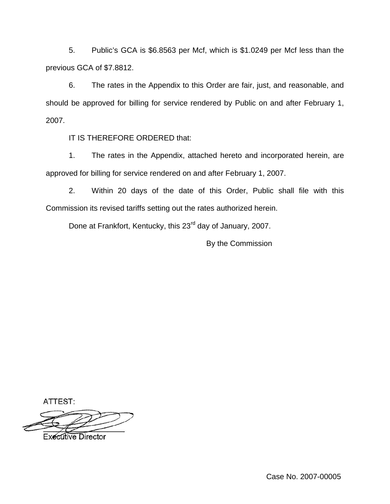5. Public's GCA is \$6.8563 per Mcf, which is \$1.0249 per Mcf less than the previous GCA of \$7.8812.

6. The rates in the Appendix to this Order are fair, just, and reasonable, and should be approved for billing for service rendered by Public on and after February 1, 2007.

IT IS THEREFORE ORDERED that:

1. The rates in the Appendix, attached hereto and incorporated herein, are approved for billing for service rendered on and after February 1, 2007.

2. Within 20 days of the date of this Order, Public shall file with this Commission its revised tariffs setting out the rates authorized herein.

Done at Frankfort, Kentucky, this 23<sup>rd</sup> day of January, 2007.

By the Commission

ATTEST:

**Executive Director** 

Case No. 2007-00005